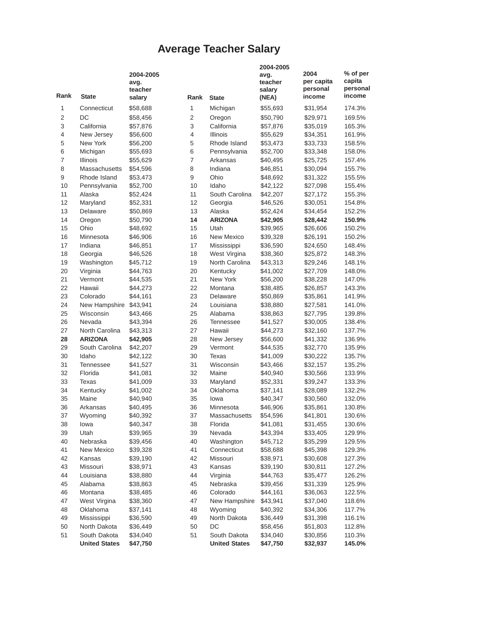## **Average Teacher Salary**

| Rank           | <b>State</b>         | 2004-2005<br>avg.<br>teacher<br>salary | Rank | <b>State</b>         | 2004-2005<br>avg.<br>teacher<br>salary<br>(NEA) | 2004<br>per capita<br>personal<br>income | % of per<br>capita<br>personal<br>income |
|----------------|----------------------|----------------------------------------|------|----------------------|-------------------------------------------------|------------------------------------------|------------------------------------------|
| 1              | Connecticut          | \$58,688                               | 1    | Michigan             | \$55,693                                        | \$31,954                                 | 174.3%                                   |
| $\overline{2}$ | DC                   | \$58,456                               | 2    | Oregon               | \$50,790                                        | \$29,971                                 | 169.5%                                   |
| 3              | California           | \$57,876                               | 3    | California           | \$57,876                                        | \$35,019                                 | 165.3%                                   |
| 4              | New Jersey           | \$56,600                               | 4    | <b>Illinois</b>      | \$55,629                                        | \$34,351                                 | 161.9%                                   |
| 5              | New York             | \$56,200                               | 5    | Rhode Island         | \$53,473                                        | \$33,733                                 | 158.5%                                   |
| 6              | Michigan             | \$55,693                               | 6    | Pennsylvania         | \$52,700                                        | \$33,348                                 | 158.0%                                   |
| $\overline{7}$ | Illinois             | \$55,629                               | 7    | Arkansas             | \$40,495                                        | \$25,725                                 | 157.4%                                   |
| 8              | Massachusetts        | \$54,596                               | 8    | Indiana              | \$46,851                                        | \$30,094                                 | 155.7%                                   |
| 9              | Rhode Island         | \$53,473                               | 9    | Ohio                 | \$48,692                                        | \$31,322                                 | 155.5%                                   |
| 10             | Pennsylvania         | \$52,700                               | 10   | Idaho                | \$42,122                                        | \$27,098                                 | 155.4%                                   |
| 11             | Alaska               | \$52,424                               | 11   | South Carolina       | \$42,207                                        | \$27,172                                 | 155.3%                                   |
| 12             | Maryland             | \$52,331                               | 12   | Georgia              | \$46,526                                        | \$30,051                                 | 154.8%                                   |
| 13             | Delaware             | \$50,869                               | 13   | Alaska               | \$52,424                                        | \$34,454                                 | 152.2%                                   |
| 14             | Oregon               | \$50,790                               | 14   | <b>ARIZONA</b>       | \$42,905                                        | \$28,442                                 | 150.9%                                   |
| 15             | Ohio                 | \$48,692                               | 15   | Utah                 | \$39,965                                        | \$26,606                                 | 150.2%                                   |
| 16             | Minnesota            | \$46,906                               | 16   | New Mexico           | \$39,328                                        | \$26,191                                 | 150.2%                                   |
| 17             | Indiana              | \$46,851                               | 17   | Mississippi          | \$36,590                                        | \$24,650                                 | 148.4%                                   |
| 18             | Georgia              | \$46,526                               | 18   | West Virgina         | \$38,360                                        | \$25,872                                 | 148.3%                                   |
| 19             | Washington           | \$45,712                               | 19   | North Carolina       | \$43,313                                        | \$29,246                                 | 148.1%                                   |
| 20             | Virginia             | \$44,763                               | 20   | Kentucky             | \$41,002                                        | \$27,709                                 | 148.0%                                   |
| 21             | Vermont              | \$44,535                               | 21   | New York             | \$56,200                                        | \$38,228                                 | 147.0%                                   |
| 22             | Hawaii               | \$44,273                               | 22   | Montana              | \$38,485                                        | \$26,857                                 | 143.3%                                   |
| 23             | Colorado             | \$44,161                               | 23   | Delaware             | \$50,869                                        | \$35,861                                 | 141.9%                                   |
| 24             | New Hampshire        | \$43,941                               | 24   | Louisiana            | \$38,880                                        | \$27,581                                 | 141.0%                                   |
| 25             | Wisconsin            | \$43,466                               | 25   | Alabama              | \$38,863                                        | \$27,795                                 | 139.8%                                   |
| 26             | Nevada               | \$43,394                               | 26   | <b>Tennessee</b>     | \$41,527                                        | \$30,005                                 | 138.4%                                   |
| 27             | North Carolina       | \$43,313                               | 27   | Hawaii               | \$44,273                                        | \$32,160                                 | 137.7%                                   |
| 28             | <b>ARIZONA</b>       | \$42,905                               | 28   | New Jersey           | \$56,600                                        | \$41,332                                 | 136.9%                                   |
| 29             | South Carolina       | \$42,207                               | 29   | Vermont              | \$44,535                                        | \$32,770                                 | 135.9%                                   |
| 30             | Idaho                | \$42,122                               | 30   | Texas                | \$41,009                                        | \$30,222                                 | 135.7%                                   |
| 31             | <b>Tennessee</b>     | \$41,527                               | 31   | Wisconsin            | \$43,466                                        | \$32,157                                 | 135.2%                                   |
| 32             | Florida              | \$41,081                               | 32   | Maine                | \$40,940                                        | \$30,566                                 | 133.9%                                   |
| 33             | <b>Texas</b>         | \$41,009                               | 33   | Maryland             | \$52,331                                        | \$39,247                                 | 133.3%                                   |
| 34             | Kentucky             | \$41,002                               | 34   | Oklahoma             | \$37,141                                        | \$28,089                                 | 132.2%                                   |
| 35             | Maine                | \$40,940                               | 35   | lowa                 | \$40,347                                        | \$30,560                                 | 132.0%                                   |
| 36             | Arkansas             | \$40,495                               | 36   | Minnesota            | \$46,906                                        | \$35,861                                 | 130.8%                                   |
| 37             | Wyoming              | \$40,392                               | 37   | Massachusetts        | \$54,596                                        | \$41,801                                 | 130.6%                                   |
| 38             | lowa                 | \$40,347                               | 38   | Florida              | \$41,081                                        | \$31,455                                 | 130.6%                                   |
| 39             | Utah                 | \$39,965                               | 39   | Nevada               | \$43,394                                        | \$33,405                                 | 129.9%                                   |
| 40             | Nebraska             | \$39,456                               | 40   | Washington           | \$45,712                                        | \$35,299                                 | 129.5%                                   |
| 41             | New Mexico           | \$39,328                               | 41   | Connecticut          | \$58,688                                        | \$45,398                                 | 129.3%                                   |
| 42             | Kansas               | \$39,190                               | 42   | Missouri             | \$38,971                                        | \$30,608                                 | 127.3%                                   |
| 43             | Missouri             | \$38,971                               | 43   | Kansas               | \$39,190                                        | \$30,811                                 | 127.2%                                   |
| 44             | Louisiana            | \$38,880                               | 44   | Virginia             | \$44,763                                        | \$35,477                                 | 126.2%                                   |
| 45             | Alabama              | \$38,863                               | 45   | Nebraska             | \$39,456                                        | \$31,339                                 | 125.9%                                   |
| 46             | Montana              | \$38,485                               | 46   | Colorado             | \$44,161                                        | \$36,063                                 | 122.5%                                   |
| 47             | West Virgina         | \$38,360                               | 47   | New Hampshire        | \$43,941                                        | \$37,040                                 | 118.6%                                   |
| 48             | Oklahoma             | \$37,141                               | 48   | Wyoming              | \$40,392                                        | \$34,306                                 | 117.7%                                   |
| 49             | Mississippi          | \$36,590                               | 49   | North Dakota         | \$36,449                                        | \$31,398                                 | 116.1%                                   |
| 50             | North Dakota         | \$36,449                               | 50   | DC                   | \$58,456                                        | \$51,803                                 | 112.8%                                   |
| 51             | South Dakota         | \$34,040                               | 51   | South Dakota         | \$34,040                                        | \$30,856                                 | 110.3%                                   |
|                | <b>United States</b> | \$47,750                               |      | <b>United States</b> | \$47,750                                        | \$32,937                                 | 145.0%                                   |